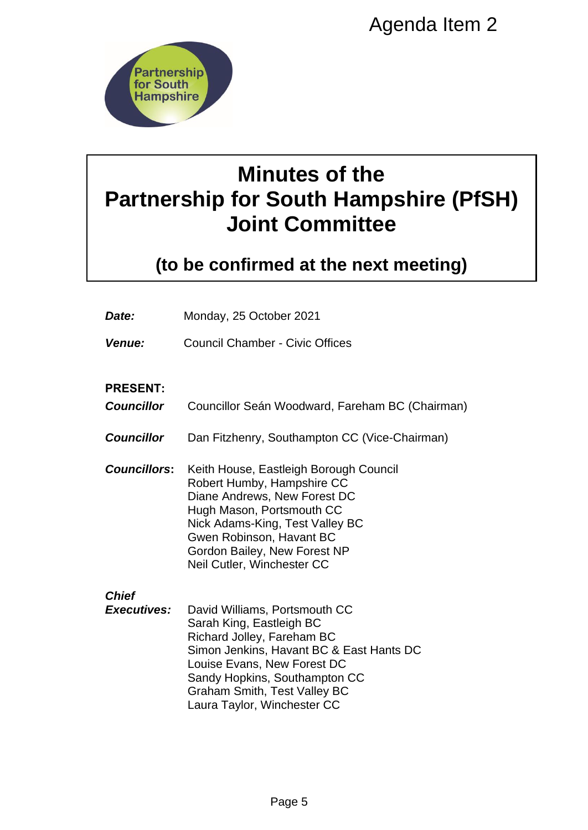

# **Minutes of the Partnership for South Hampshire (PfSH) Joint Committee**

|                                                                                                                                                       | Agenda Item 2                                                                                                                                                                                                                                                             |  |
|-------------------------------------------------------------------------------------------------------------------------------------------------------|---------------------------------------------------------------------------------------------------------------------------------------------------------------------------------------------------------------------------------------------------------------------------|--|
| <b>Partnership</b><br>for South<br><b>Hampshire</b><br><b>Minutes of the</b><br><b>Partnership for South Hampshire (PfS</b><br><b>Joint Committee</b> |                                                                                                                                                                                                                                                                           |  |
|                                                                                                                                                       |                                                                                                                                                                                                                                                                           |  |
| Date:                                                                                                                                                 | Monday, 25 October 2021                                                                                                                                                                                                                                                   |  |
| <b>Venue:</b>                                                                                                                                         | <b>Council Chamber - Civic Offices</b>                                                                                                                                                                                                                                    |  |
| <b>PRESENT:</b><br><b>Councillor</b>                                                                                                                  | Councillor Seán Woodward, Fareham BC (Chairman)                                                                                                                                                                                                                           |  |
| <b>Councillor</b>                                                                                                                                     | Dan Fitzhenry, Southampton CC (Vice-Chairman)                                                                                                                                                                                                                             |  |
| <b>Councillors:</b>                                                                                                                                   | Keith House, Eastleigh Borough Council<br>Robert Humby, Hampshire CC<br>Diane Andrews, New Forest DC<br>Hugh Mason, Portsmouth CC<br>Nick Adams-King, Test Valley BC<br>Gwen Robinson, Havant BC<br>Gordon Bailey, New Forest NP<br>Neil Cutler, Winchester CC            |  |
| <b>Chief</b><br><b>Executives:</b>                                                                                                                    | David Williams, Portsmouth CC<br>Sarah King, Eastleigh BC<br>Richard Jolley, Fareham BC<br>Simon Jenkins, Havant BC & East Hants DC<br>Louise Evans, New Forest DC<br>Sandy Hopkins, Southampton CC<br><b>Graham Smith, Test Valley BC</b><br>Laura Taylor, Winchester CC |  |
|                                                                                                                                                       | Page 5                                                                                                                                                                                                                                                                    |  |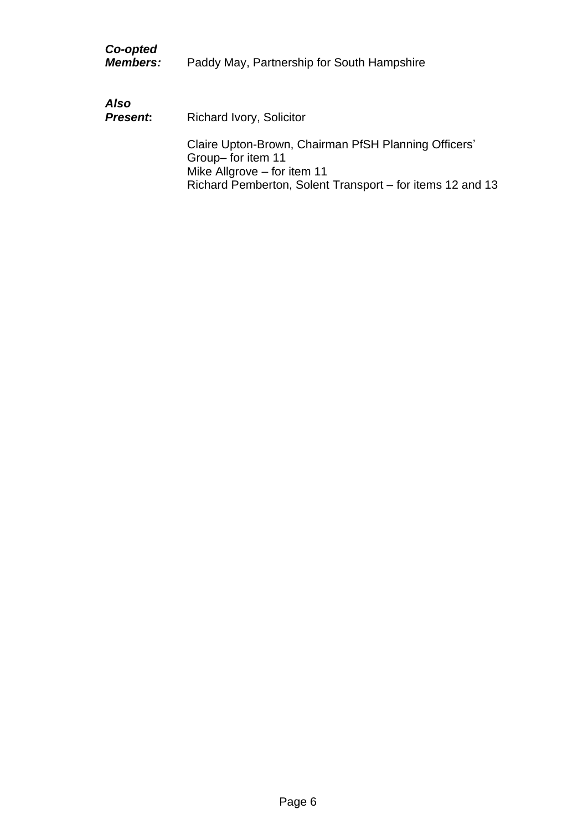| Co-opted<br><b>Members:</b> | Paddy May, Partnership for South Hampshire                                                                                                                              |
|-----------------------------|-------------------------------------------------------------------------------------------------------------------------------------------------------------------------|
| Also<br><b>Present:</b>     | <b>Richard Ivory, Solicitor</b>                                                                                                                                         |
|                             | Claire Upton-Brown, Chairman PfSH Planning Officers'<br>Group-for item 11<br>Mike Allgrove $-$ for item 11<br>Richard Pemberton, Solent Transport – for items 12 and 13 |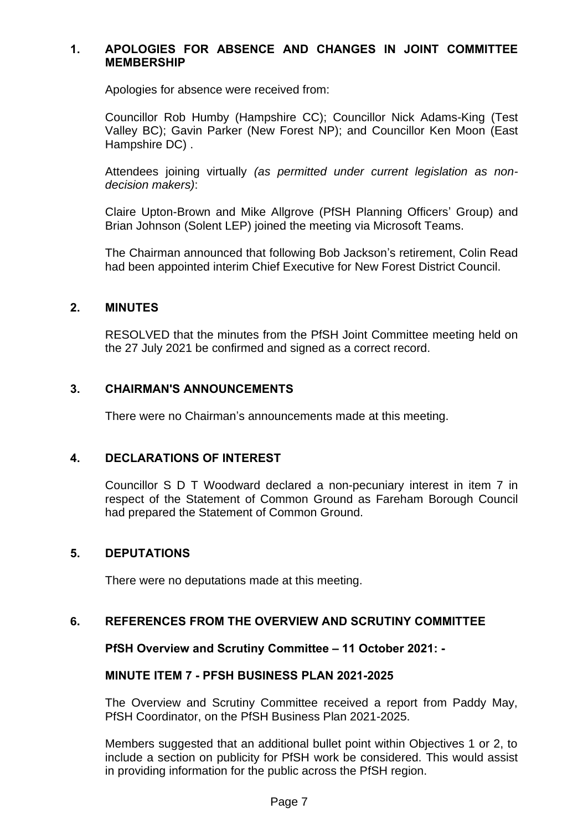### **1. APOLOGIES FOR ABSENCE AND CHANGES IN JOINT COMMITTEE MEMBERSHIP**

Apologies for absence were received from:

Councillor Rob Humby (Hampshire CC); Councillor Nick Adams-King (Test Valley BC); Gavin Parker (New Forest NP); and Councillor Ken Moon (East Hampshire DC) .

Attendees joining virtually *(as permitted under current legislation as nondecision makers)*:

Claire Upton-Brown and Mike Allgrove (PfSH Planning Officers' Group) and Brian Johnson (Solent LEP) joined the meeting via Microsoft Teams.

The Chairman announced that following Bob Jackson's retirement, Colin Read had been appointed interim Chief Executive for New Forest District Council.

#### **2. MINUTES**

RESOLVED that the minutes from the PfSH Joint Committee meeting held on the 27 July 2021 be confirmed and signed as a correct record.

## **3. CHAIRMAN'S ANNOUNCEMENTS**

There were no Chairman's announcements made at this meeting.

#### **4. DECLARATIONS OF INTEREST**

Councillor S D T Woodward declared a non-pecuniary interest in item 7 in respect of the Statement of Common Ground as Fareham Borough Council had prepared the Statement of Common Ground.

# **5. DEPUTATIONS**

There were no deputations made at this meeting.

#### **6. REFERENCES FROM THE OVERVIEW AND SCRUTINY COMMITTEE**

#### **PfSH Overview and Scrutiny Committee – 11 October 2021: -**

#### **MINUTE ITEM 7 - PFSH BUSINESS PLAN 2021-2025**

The Overview and Scrutiny Committee received a report from Paddy May, PfSH Coordinator, on the PfSH Business Plan 2021-2025.

Members suggested that an additional bullet point within Objectives 1 or 2, to include a section on publicity for PfSH work be considered. This would assist in providing information for the public across the PfSH region.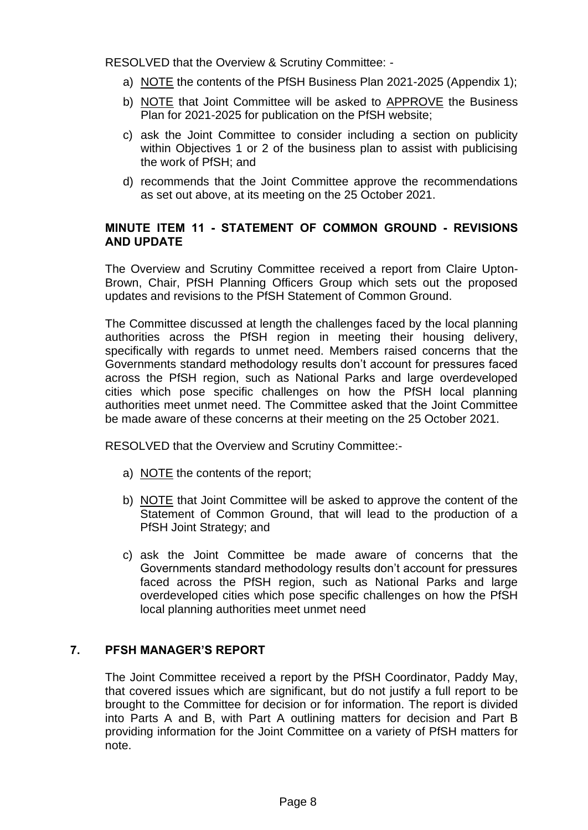RESOLVED that the Overview & Scrutiny Committee: -

- a) NOTE the contents of the PfSH Business Plan 2021-2025 (Appendix 1);
- b) NOTE that Joint Committee will be asked to APPROVE the Business Plan for 2021-2025 for publication on the PfSH website;
- c) ask the Joint Committee to consider including a section on publicity within Objectives 1 or 2 of the business plan to assist with publicising the work of PfSH; and
- d) recommends that the Joint Committee approve the recommendations as set out above, at its meeting on the 25 October 2021.

# **MINUTE ITEM 11 - STATEMENT OF COMMON GROUND - REVISIONS AND UPDATE**

The Overview and Scrutiny Committee received a report from Claire Upton-Brown, Chair, PfSH Planning Officers Group which sets out the proposed updates and revisions to the PfSH Statement of Common Ground.

The Committee discussed at length the challenges faced by the local planning authorities across the PfSH region in meeting their housing delivery, specifically with regards to unmet need. Members raised concerns that the Governments standard methodology results don't account for pressures faced across the PfSH region, such as National Parks and large overdeveloped cities which pose specific challenges on how the PfSH local planning authorities meet unmet need. The Committee asked that the Joint Committee be made aware of these concerns at their meeting on the 25 October 2021.

RESOLVED that the Overview and Scrutiny Committee:-

- a) NOTE the contents of the report;
- b) NOTE that Joint Committee will be asked to approve the content of the Statement of Common Ground, that will lead to the production of a PfSH Joint Strategy; and
- c) ask the Joint Committee be made aware of concerns that the Governments standard methodology results don't account for pressures faced across the PfSH region, such as National Parks and large overdeveloped cities which pose specific challenges on how the PfSH local planning authorities meet unmet need

## **7. PFSH MANAGER'S REPORT**

The Joint Committee received a report by the PfSH Coordinator, Paddy May, that covered issues which are significant, but do not justify a full report to be brought to the Committee for decision or for information. The report is divided into Parts A and B, with Part A outlining matters for decision and Part B providing information for the Joint Committee on a variety of PfSH matters for note.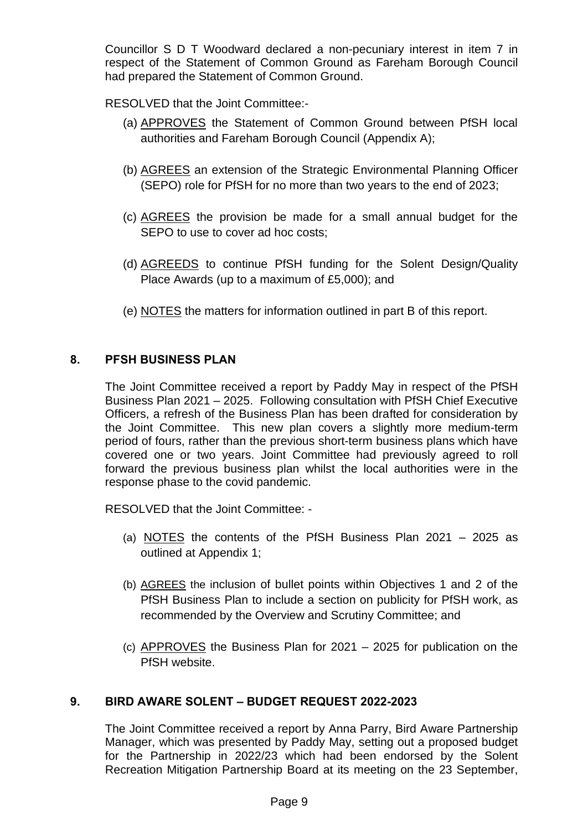Councillor S D T Woodward declared a non-pecuniary interest in item 7 in respect of the Statement of Common Ground as Fareham Borough Council had prepared the Statement of Common Ground.

RESOLVED that the Joint Committee:-

- (a) APPROVES the Statement of Common Ground between PfSH local authorities and Fareham Borough Council (Appendix A);
- (b) AGREES an extension of the Strategic Environmental Planning Officer (SEPO) role for PfSH for no more than two years to the end of 2023;
- (c) AGREES the provision be made for a small annual budget for the SEPO to use to cover ad hoc costs:
- (d) AGREEDS to continue PfSH funding for the Solent Design/Quality Place Awards (up to a maximum of £5,000); and
- (e) NOTES the matters for information outlined in part B of this report.

# **8. PFSH BUSINESS PLAN**

The Joint Committee received a report by Paddy May in respect of the PfSH Business Plan 2021 – 2025. Following consultation with PfSH Chief Executive Officers, a refresh of the Business Plan has been drafted for consideration by the Joint Committee. This new plan covers a slightly more medium-term period of fours, rather than the previous short-term business plans which have covered one or two years. Joint Committee had previously agreed to roll forward the previous business plan whilst the local authorities were in the response phase to the covid pandemic.

RESOLVED that the Joint Committee: -

- (a) NOTES the contents of the PfSH Business Plan 2021 2025 as outlined at Appendix 1;
- (b) AGREES the inclusion of bullet points within Objectives 1 and 2 of the PfSH Business Plan to include a section on publicity for PfSH work, as recommended by the Overview and Scrutiny Committee; and
- (c) APPROVES the Business Plan for 2021 2025 for publication on the PfSH website.

## **9. BIRD AWARE SOLENT – BUDGET REQUEST 2022-2023**

The Joint Committee received a report by Anna Parry, Bird Aware Partnership Manager, which was presented by Paddy May, setting out a proposed budget for the Partnership in 2022/23 which had been endorsed by the Solent Recreation Mitigation Partnership Board at its meeting on the 23 September,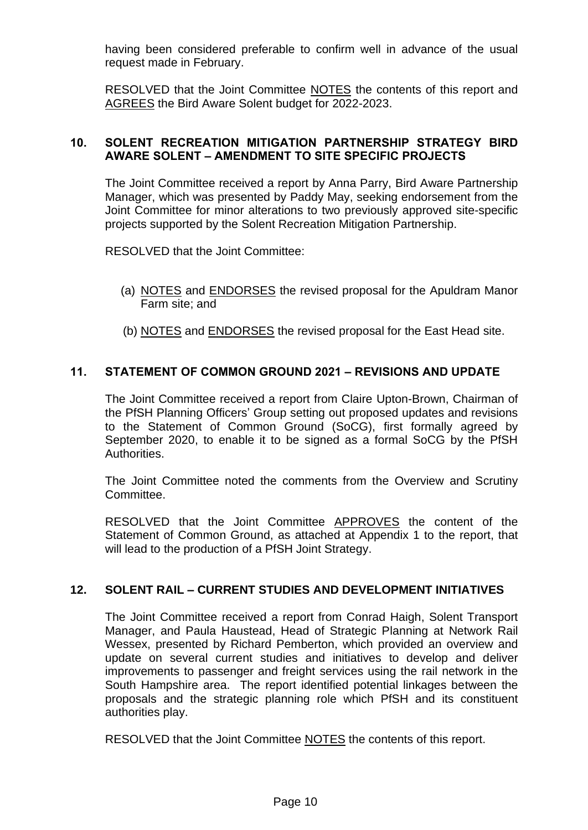having been considered preferable to confirm well in advance of the usual request made in February.

RESOLVED that the Joint Committee NOTES the contents of this report and AGREES the Bird Aware Solent budget for 2022-2023.

# **10. SOLENT RECREATION MITIGATION PARTNERSHIP STRATEGY BIRD AWARE SOLENT – AMENDMENT TO SITE SPECIFIC PROJECTS**

The Joint Committee received a report by Anna Parry, Bird Aware Partnership Manager, which was presented by Paddy May, seeking endorsement from the Joint Committee for minor alterations to two previously approved site-specific projects supported by the Solent Recreation Mitigation Partnership.

RESOLVED that the Joint Committee:

- (a) NOTES and ENDORSES the revised proposal for the Apuldram Manor Farm site; and
- (b) NOTES and ENDORSES the revised proposal for the East Head site.

# **11. STATEMENT OF COMMON GROUND 2021 – REVISIONS AND UPDATE**

The Joint Committee received a report from Claire Upton-Brown, Chairman of the PfSH Planning Officers' Group setting out proposed updates and revisions to the Statement of Common Ground (SoCG), first formally agreed by September 2020, to enable it to be signed as a formal SoCG by the PfSH Authorities.

The Joint Committee noted the comments from the Overview and Scrutiny Committee.

RESOLVED that the Joint Committee APPROVES the content of the Statement of Common Ground, as attached at Appendix 1 to the report, that will lead to the production of a PfSH Joint Strategy.

## **12. SOLENT RAIL – CURRENT STUDIES AND DEVELOPMENT INITIATIVES**

The Joint Committee received a report from Conrad Haigh, Solent Transport Manager, and Paula Haustead, Head of Strategic Planning at Network Rail Wessex, presented by Richard Pemberton, which provided an overview and update on several current studies and initiatives to develop and deliver improvements to passenger and freight services using the rail network in the South Hampshire area. The report identified potential linkages between the proposals and the strategic planning role which PfSH and its constituent authorities play.

RESOLVED that the Joint Committee NOTES the contents of this report.